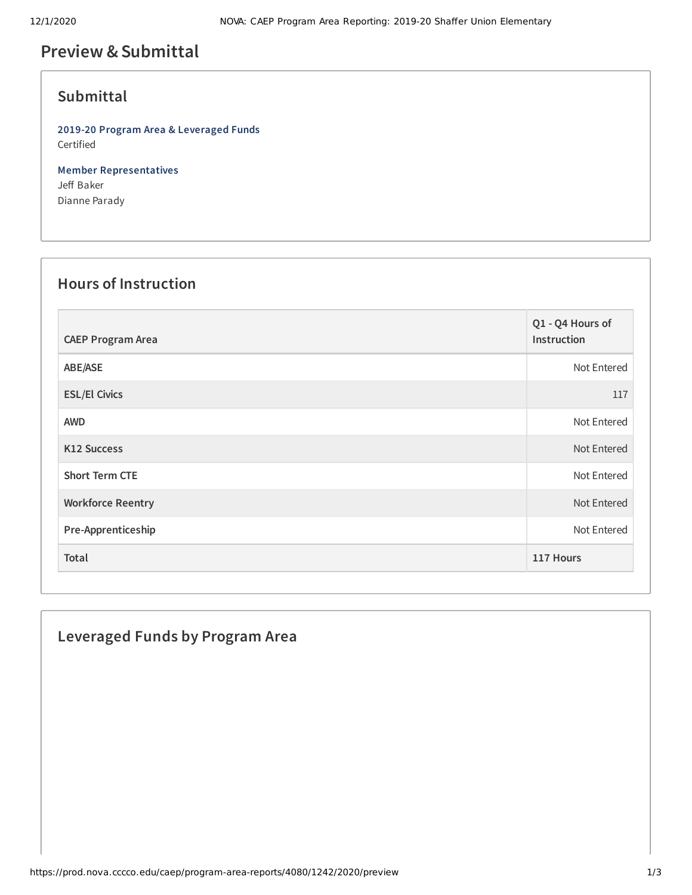# **Preview &Submittal**

### **Submittal**

**2019-20 Program Area & Leveraged Funds** Certified

**Member Representatives** Jeff Baker Dianne Parady

### **Hours of Instruction**

| <b>CAEP Program Area</b> | Q1 - Q4 Hours of<br>Instruction |
|--------------------------|---------------------------------|
| ABE/ASE                  | Not Entered                     |
| <b>ESL/El Civics</b>     | 117                             |
| <b>AWD</b>               | Not Entered                     |
| <b>K12 Success</b>       | Not Entered                     |
| <b>Short Term CTE</b>    | Not Entered                     |
| <b>Workforce Reentry</b> | Not Entered                     |
| Pre-Apprenticeship       | Not Entered                     |
| Total                    | 117 Hours                       |

# **Leveraged Funds by Program Area**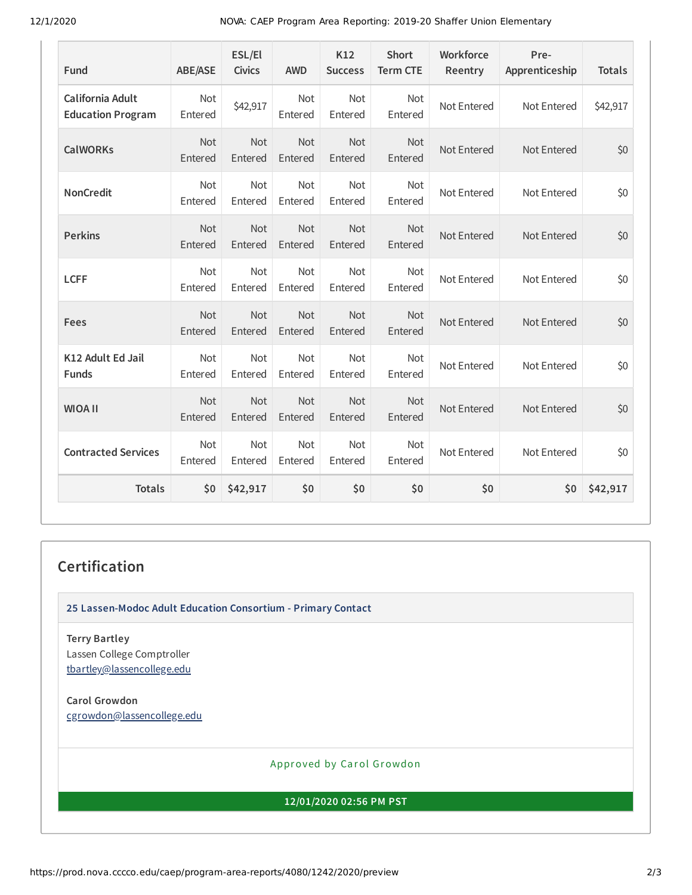12/1/2020 NOVA: CAEP Program Area Reporting: 2019-20 Shaffer Union Elementary

| Fund                                         | <b>ABE/ASE</b>        | ESL/El<br><b>Civics</b> | <b>AWD</b>            | K12<br><b>Success</b> | <b>Short</b><br><b>Term CTE</b> | Workforce<br>Reentry | Pre-<br>Apprenticeship | <b>Totals</b> |
|----------------------------------------------|-----------------------|-------------------------|-----------------------|-----------------------|---------------------------------|----------------------|------------------------|---------------|
| California Adult<br><b>Education Program</b> | Not<br>Entered        | \$42,917                | <b>Not</b><br>Entered | Not<br>Entered        | Not<br>Entered                  | Not Entered          | Not Entered            | \$42,917      |
| <b>CalWORKs</b>                              | <b>Not</b><br>Entered | Not<br>Entered          | <b>Not</b><br>Entered | Not<br>Entered        | <b>Not</b><br>Entered           | Not Entered          | Not Entered            | \$0           |
| <b>NonCredit</b>                             | Not<br>Entered        | Not<br>Entered          | Not<br>Entered        | Not<br>Entered        | Not<br>Entered                  | Not Entered          | Not Entered            | \$0           |
| <b>Perkins</b>                               | Not<br>Entered        | Not<br>Entered          | Not<br>Entered        | Not<br>Entered        | Not<br>Entered                  | Not Entered          | Not Entered            | \$0           |
| <b>LCFF</b>                                  | Not<br>Entered        | Not<br>Entered          | Not<br>Entered        | Not<br>Entered        | Not<br>Entered                  | Not Entered          | Not Entered            | \$0           |
| Fees                                         | Not<br>Entered        | Not<br>Entered          | Not<br>Entered        | Not<br>Entered        | Not<br>Entered                  | Not Entered          | Not Entered            | \$0           |
| K12 Adult Ed Jail<br><b>Funds</b>            | Not<br>Entered        | <b>Not</b><br>Entered   | Not<br>Entered        | Not<br>Entered        | <b>Not</b><br>Entered           | Not Entered          | Not Entered            | \$0           |
| <b>WIOA II</b>                               | Not<br>Entered        | Not<br>Entered          | Not<br>Entered        | Not<br>Entered        | Not<br>Entered                  | Not Entered          | Not Entered            | \$0           |
| <b>Contracted Services</b>                   | Not<br>Entered        | Not<br>Entered          | Not<br>Entered        | Not<br>Entered        | Not<br>Entered                  | Not Entered          | Not Entered            | \$0           |
| <b>Totals</b>                                | \$0                   | \$42,917                | \$0                   | \$0                   | \$0                             | \$0                  | \$0                    | \$42,917      |

#### **Certification**

**25 Lassen-Modoc Adult Education Consortium - Primary Contact**

**Terry Bartley** Lassen College Comptroller [tbartley@lassencollege.edu](mailto:tbartley@lassencollege.edu)

**Carol Growdon** [cgrowdon@lassencollege.edu](mailto:cgrowdon@lassencollege.edu)

Approved by Carol Growdon

**12/01/2020 02:56 PM PST**